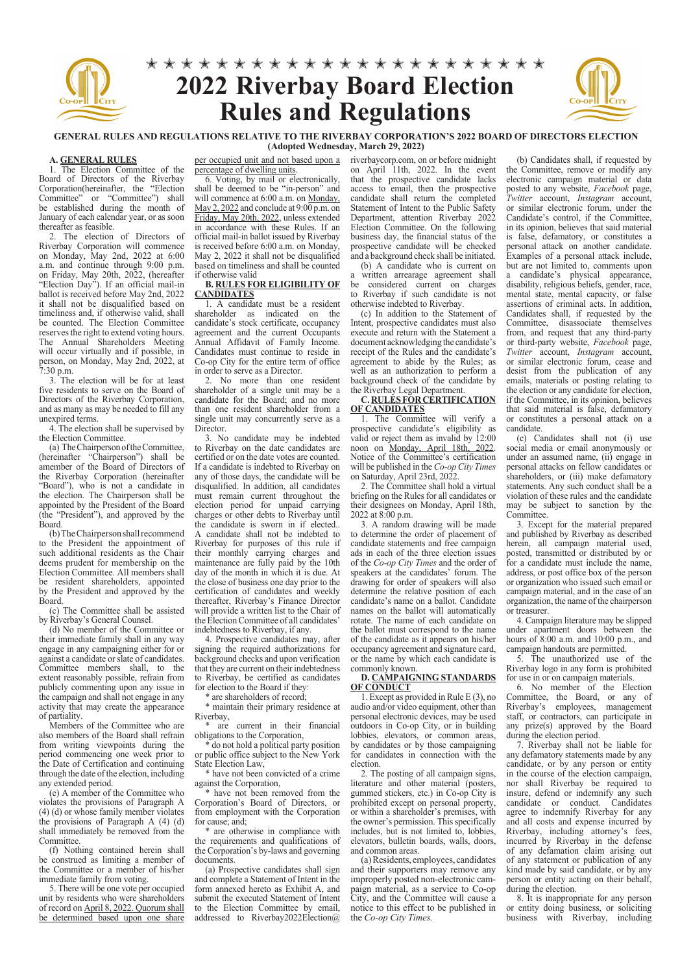

### **GENERAL RULES AND REGULATIONS RELATIVE TO THE RIVERBAY CORPORATION'S 2022 BOARD OF DIRECTORS ELECTION (Adopted Wednesday, March 29, 2022)**

#### **A. GENERAL RULES**

1. The Election Committee of the Board of Directors of the Riverbay Corporation(hereinafter, the "Election Committee" or "Committee") shall be established during the month of January of each calendar year, or as soon thereafter as feasible.

2. The election of Directors of Riverbay Corporation will commence on Monday, May 2nd, 2022 at 6:00 a.m. and continue through 9:00 p.m. on Friday, May 20th, 2022, (hereafter "Election Day"). If an official mail-in ballot is received before May 2nd, 2022 it shall not be disqualified based on timeliness and, if otherwise valid, shall be counted. The Election Committee reserves the right to extend voting hours. The Annual Shareholders Meeting will occur virtually and if possible, in person, on Monday, May 2nd, 2022, at 7:30 p.m.

3. The election will be for at least five residents to serve on the Board of Directors of the Riverbay Corporation, and as many as may be needed to fill any unexpired terms.

4. The election shall be supervised by the Election Committee.

(a) The Chairperson of the Committee, (hereinafter "Chairperson") shall be amember of the Board of Directors of the Riverbay Corporation (hereinafter "Board"), who is not a candidate in the election. The Chairperson shall be appointed by the President of the Board (the "President"), and approved by the Board.

(b) The Chairperson shall recommend to the President the appointment of such additional residents as the Chair deems prudent for membership on the Election Committee. All members shall be resident shareholders, appointed by the President and approved by the Board.

(c) The Committee shall be assisted by Riverbay's General Counsel.

(d) No member of the Committee or their immediate family shall in any way engage in any campaigning either for or against a candidate or slate of candidates. Committee members shall, to the extent reasonably possible, refrain from publicly commenting upon any issue in the campaign and shall not engage in any activity that may create the appearance of partiality.

Members of the Committee who are also members of the Board shall refrain from writing viewpoints during the period commencing one week prior to the Date of Certification and continuing through the date of the election, including any extended period.

(e) A member of the Committee who violates the provisions of Paragraph A (4) (d) or whose family member violates the provisions of Paragraph A (4) (d) shall immediately be removed from the Committee.

(f) Nothing contained herein shall be construed as limiting a member of the Committee or a member of his/her immediate family from voting.

5. There will be one vote per occupied unit by residents who were shareholders of record on April 8, 2022. Quorum shall be determined based upon one share percentage of dwelling units.

6. Voting, by mail or electronically, shall be deemed to be "in-person" and will commence at 6:00 a.m. on Monday, May 2, 2022 and conclude at 9:00 p.m. on Friday, May 20th, 2022, unless extended in accordance with these Rules. If an official mail-in ballot issued by Riverbay is received before 6:00 a.m. on Monday, May 2, 2022 it shall not be disqualified based on timeliness and shall be counted if otherwise valid

#### **B. RULES FOR ELIGIBILITY OF CANDIDATES**

1. A candidate must be a resident shareholder as indicated on the candidate's stock certificate, occupancy agreement and the current Occupants Annual Affidavit of Family Income. Candidates must continue to reside in Co-op City for the entire term of office in order to serve as a Director.

2. No more than one resident shareholder of a single unit may be a candidate for the Board; and no more than one resident shareholder from a single unit may concurrently serve as a Director.

3. No candidate may be indebted to Riverbay on the date candidates are certified or on the date votes are counted. If a candidate is indebted to Riverbay on any of those days, the candidate will be disqualified. In addition, all candidates must remain current throughout the election period for unpaid carrying charges or other debts to Riverbay until the candidate is sworn in if elected.. A candidate shall not be indebted to Riverbay for purposes of this rule if their monthly carrying charges and maintenance are fully paid by the 10th day of the month in which it is due. At the close of business one day prior to the certification of candidates and weekly thereafter, Riverbay's Finance Director will provide a written list to the Chair of the Election Committee of all candidates' indebtedness to Riverbay, if any.

4. Prospective candidates may, after signing the required authorizations for background checks and upon verification that they are current on their indebtedness to Riverbay, be certified as candidates for election to the Board if they:

\* are shareholders of record;

\* maintain their primary residence at Riverbay,

\* are current in their financial obligations to the Corporation,

do not hold a political party position or public office subject to the New York State Election Law,

\* have not been convicted of a crime against the Corporation,

\* have not been removed from the Corporation's Board of Directors, or from employment with the Corporation for cause; and;

are otherwise in compliance with the requirements and qualifications of the Corporation's by-laws and governing documents.

(a) Prospective candidates shall sign and complete a Statement of Intent in the form annexed hereto as Exhibit A, and submit the executed Statement of Intent to the Election Committee by email, addressed to Riverbay2022Election@

per occupied unit and not based upon a riverbaycorp.com, on or before midnight on April 11th, 2022. In the event that the prospective candidate lacks access to email, then the prospective candidate shall return the completed Statement of Intent to the Public Safety Department, attention Riverbay 2022 Election Committee. On the following business day, the financial status of the prospective candidate will be checked and a background check shall be initiated.

(b) A candidate who is current on a written arrearage agreement shall be considered current on charges to Riverbay if such candidate is not otherwise indebted to Riverbay.

(c) In addition to the Statement of Intent, prospective candidates must also execute and return with the Statement a document acknowledging the candidate's receipt of the Rules and the candidate's agreement to abide by the Rules; as well as an authorization to perform a background check of the candidate by the Riverbay Legal Department.

**C. RULES FOR CERTIFICATION OF CANDIDATES**

1. The Committee will verify a prospective candidate's eligibility as valid or reject them as invalid by 12:00 noon on Monday, April 18th, 2022. Notice of the Committee's certification will be published in the *Co-op City Times* on Saturday, April 23rd, 2022.

2. The Committee shall hold a virtual briefing on the Rules for all candidates or their designees on Monday, April 18th, 2022 at 8:00 p.m.

3. A random drawing will be made to determine the order of placement of candidate statements and free campaign ads in each of the three election issues of the *Co-op City Times* and the order of speakers at the candidates' forum. The drawing for order of speakers will also determine the relative position of each candidate's name on a ballot. Candidate names on the ballot will automatically rotate. The name of each candidate on the ballot must correspond to the name of the candidate as it appears on his/her occupancy agreement and signature card, or the name by which each candidate is commonly known.

## **D. CAMPAIGNING STANDARDS OF CONDUCT**

1. Except as provided in Rule E (3), no audio and/or video equipment, other than personal electronic devices, may be used outdoors in Co-op City, or in building lobbies, elevators, or common areas, by candidates or by those campaigning for candidates in connection with the election.

2. The posting of all campaign signs, terature and other material (posters, gummed stickers, etc.) in Co-op City is prohibited except on personal property, or within a shareholder's premises, with the owner's permission. This specifically includes, but is not limited to, lobbies, elevators, bulletin boards, walls, doors, and common areas.

(a) Residents, employees, candidates and their supporters may remove any improperly posted non-electronic campaign material, as a service to Co-op City, and the Committee will cause a notice to this effect to be published in the *Co-op City Times.*

(b) Candidates shall, if requested by the Committee, remove or modify any electronic campaign material or data posted to any website, *Facebook* page, *Twitter* account, *Instagram* account, or similar electronic forum, under the Candidate's control, if the Committee, in its opinion, believes that said material is false, defamatory, or constitutes a personal attack on another candidate. Examples of a personal attack include, but are not limited to, comments upon

a candidate's physical appearance, disability, religious beliefs, gender, race, mental state, mental capacity, or false assertions of criminal acts. In addition, Candidates shall, if requested by the Committee, disassociate themselves from, and request that any third-party or third-party website, *Facebook* page, *Twitter* account, *Instagram* account, or similar electronic forum, cease and desist from the publication of any emails, materials or posting relating to the election or any candidate for election, if the Committee, in its opinion, believes that said material is false, defamatory or constitutes a personal attack on a candidate.

(c) Candidates shall not (i) use social media or email anonymously or under an assumed name, (ii) engage in personal attacks on fellow candidates or shareholders, or (iii) make defamatory statements. Any such conduct shall be a violation of these rules and the candidate may be subject to sanction by the Committee.

3. Except for the material prepared and published by Riverbay as described herein, all campaign material used, posted, transmitted or distributed by or for a candidate must include the name, address, or post office box of the person or organization who issued such email or campaign material, and in the case of an organization, the name of the chairperson or treasurer.

4. Campaign literature may be slipped under apartment doors between the hours of 8:00 a.m. and 10:00 p.m., and campaign handouts are permitted.

5. The unauthorized use of the Riverbay logo in any form is prohibited for use in or on campaign materials.

6. No member of the Election Committee, the Board, or any of Riverbay's employees, management staff, or contractors, can participate in any prize(s) approved by the Board during the election period.

7. Riverbay shall not be liable for any defamatory statements made by any candidate, or by any person or entity in the course of the election campaign, nor shall Riverbay be required to insure, defend or indemnify any such candidate or conduct. Candidates agree to indemnify Riverbay for any and all costs and expense incurred by Riverbay, including attorney's fees, incurred by Riverbay in the defense of any defamation claim arising out of any statement or publication of any kind made by said candidate, or by any person or entity acting on their behalf, during the election.

8. It is inappropriate for any person or entity doing business, or soliciting business with Riverbay, including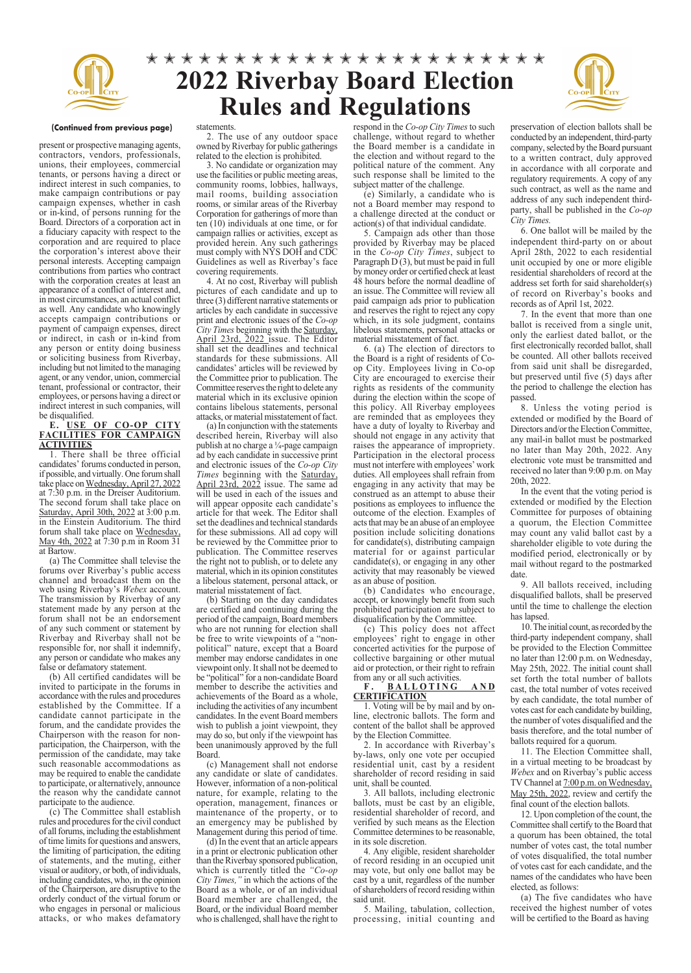

## **2022 Riverbay Board Election Rules and Regulations** 00000000000000000000000



#### **(Continued from previous page)**

present or prospective managing agents, contractors, vendors, professionals, unions, their employees, commercial tenants, or persons having a direct or indirect interest in such companies, to make campaign contributions or pay campaign expenses, whether in cash or in-kind, of persons running for the Board. Directors of a corporation act in a fiduciary capacity with respect to the corporation and are required to place the corporation's interest above their personal interests. Accepting campaign contributions from parties who contract with the corporation creates at least an appearance of a conflict of interest and, in most circumstances, an actual conflict as well. Any candidate who knowingly accepts campaign contributions or payment of campaign expenses, direct or indirect, in cash or in-kind from any person or entity doing business or soliciting business from Riverbay, including but not limited to the managing agent, or any vendor, union, commercial tenant, professional or contractor, their employees, or persons having a direct or indirect interest in such companies, will be disqualified.

#### **E. USE OF CO-OP CITY FACILITIES FOR CAMPAIGN ACTIVITIES**

1. There shall be three official candidates' forums conducted in person, if possible, and virtually. One forum shall take place on Wednesday, April 27, 2022 at 7:30 p.m. in the Dreiser Auditorium. The second forum shall take place on Saturday, April 30th, 2022 at 3:00 p.m. in the Einstein Auditorium. The third forum shall take place on Wednesday, May 4th, 2022 at 7:30 p.m in Room 31 at Bartow.

(a) The Committee shall televise the forums over Riverbay's public access channel and broadcast them on the web using Riverbay's *Webex* account. The transmission by Riverbay of any statement made by any person at the forum shall not be an endorsement of any such comment or statement by Riverbay and Riverbay shall not be responsible for, nor shall it indemnify, any person or candidate who makes any false or defamatory statement.

(b) All certified candidates will be invited to participate in the forums in accordance with the rules and procedures established by the Committee. If a candidate cannot participate in the forum, and the candidate provides the Chairperson with the reason for nonparticipation, the Chairperson, with the permission of the candidate, may take such reasonable accommodations as may be required to enable the candidate to participate, or alternatively, announce the reason why the candidate cannot participate to the audience.

(c) The Committee shall establish rules and procedures for the civil conduct of all forums, including the establishment of time limits for questions and answers, the limiting of participation, the editing of statements, and the muting, either visual or auditory, or both, of individuals, including candidates, who, in the opinion of the Chairperson, are disruptive to the orderly conduct of the virtual forum or who engages in personal or malicious attacks, or who makes defamatory

#### statements.

2. The use of any outdoor space owned by Riverbay for public gatherings related to the election is prohibited.

3. No candidate or organization may use the facilities or public meeting areas, community rooms, lobbies, hallways, mail rooms, building association rooms, or similar areas of the Riverbay Corporation for gatherings of more than ten (10) individuals at one time, or for campaign rallies or activities, except as provided herein. Any such gatherings must comply with NYS DOH and CDC Guidelines as well as Riverbay's face covering requirements.

4. At no cost, Riverbay will publish pictures of each candidate and up to three (3) different narrative statements or articles by each candidate in successive print and electronic issues of the *Co-op City Times* beginning with the Saturday, April 23rd, 2022 issue. The Editor shall set the deadlines and technical standards for these submissions. All candidates' articles will be reviewed by the Committee prior to publication. The Committee reserves the right to delete any material which in its exclusive opinion contains libelous statements, personal attacks, or material misstatement of fact.

(a) In conjunction with the statements described herein, Riverbay will also publish at no charge a ¼-page campaign ad by each candidate in successive print and electronic issues of the *Co-op City Times* beginning with the Saturday, April 23rd, 2022 issue. The same ad will be used in each of the issues and will appear opposite each candidate's article for that week. The Editor shall set the deadlines and technical standards for these submissions. All ad copy will be reviewed by the Committee prior to publication. The Committee reserves the right not to publish, or to delete any material, which in its opinion constitutes a libelous statement, personal attack, or material misstatement of fact.

(b) Starting on the day candidates are certified and continuing during the period of the campaign, Board members who are not running for election shall be free to write viewpoints of a "nonpolitical" nature, except that a Board member may endorse candidates in one viewpoint only. It shall not be deemed to be "political" for a non-candidate Board member to describe the activities and achievements of the Board as a whole, including the activities of any incumbent candidates. In the event Board members wish to publish a joint viewpoint, they may do so, but only if the viewpoint has been unanimously approved by the full Board.

(c) Management shall not endorse any candidate or slate of candidates. However, information of a non-political nature, for example, relating to the operation, management, finances or maintenance of the property, or to an emergency may be published by Management during this period of time.

(d) In the event that an article appears in a print or electronic publication other than the Riverbay sponsored publication, which is currently titled the *"Co-op City Times,"* in which the actions of the Board as a whole, or of an individual Board member are challenged, the Board, or the individual Board member who is challenged, shall have the right to

respond in the *Co-op City Times* to such challenge, without regard to whether the Board member is a candidate in the election and without regard to the political nature of the comment. Any such response shall be limited to the subject matter of the challenge.

(e) Similarly, a candidate who is not a Board member may respond to a challenge directed at the conduct or action(s) of that individual candidate.

5. Campaign ads other than those provided by Riverbay may be placed in the *Co-op City Times*, subject to Paragraph D (3), but must be paid in full by money order or certified check at least 48 hours before the normal deadline of an issue. The Committee will review all paid campaign ads prior to publication and reserves the right to reject any copy which, in its sole judgment, contains libelous statements, personal attacks or material misstatement of fact.

6. (a) The election of directors to the Board is a right of residents of Coop City. Employees living in Co-op City are encouraged to exercise their rights as residents of the community during the election within the scope of this policy. All Riverbay employees are reminded that as employees they have a duty of loyalty to Riverbay and should not engage in any activity that raises the appearance of impropriety. Participation in the electoral process must not interfere with employees' work duties. All employees shall refrain from engaging in any activity that may be construed as an attempt to abuse their positions as employees to influence the outcome of the election. Examples of acts that may be an abuse of an employee position include soliciting donations for candidate(s), distributing campaign material for or against particular candidate(s), or engaging in any other activity that may reasonably be viewed as an abuse of position.

(b) Candidates who encourage, accept, or knowingly benefit from such prohibited participation are subject to disqualification by the Committee.

(c) This policy does not affect employees' right to engage in other concerted activities for the purpose of collective bargaining or other mutual aid or protection, or their right to refrain from any or all such activities.

#### F. BALLOTING AND **CERTIFICATION**

1. Voting will be by mail and by online, electronic ballots. The form and content of the ballot shall be approved by the Election Committee.

2. In accordance with Riverbay's by-laws, only one vote per occupied residential unit, cast by a resident shareholder of record residing in said unit, shall be counted.

3. All ballots, including electronic ballots, must be cast by an eligible, residential shareholder of record, and verified by such means as the Election Committee determines to be reasonable, in its sole discretion.

4. Any eligible, resident shareholder of record residing in an occupied unit may vote, but only one ballot may be cast by a unit, regardless of the number of shareholders of record residing within said unit.

5. Mailing, tabulation, collection, processing, initial counting and preservation of election ballots shall be conducted by an independent, third-party company, selected by the Board pursuant to a written contract, duly approved in accordance with all corporate and regulatory requirements. A copy of any such contract, as well as the name and address of any such independent thirdparty, shall be published in the *Co-op City Times.*

6. One ballot will be mailed by the independent third-party on or about April 28th, 2022 to each residential unit occupied by one or more eligible residential shareholders of record at the address set forth for said shareholder(s) of record on Riverbay's books and records as of April 1st, 2022.

7. In the event that more than one ballot is received from a single unit, only the earliest dated ballot, or the first electronically recorded ballot, shall be counted. All other ballots received from said unit shall be disregarded, but preserved until five (5) days after the period to challenge the election has passed.

8. Unless the voting period is extended or modified by the Board of Directors and/or the Election Committee, any mail-in ballot must be postmarked no later than May 20th, 2022. Any electronic vote must be transmitted and received no later than 9:00 p.m. on May 20th, 2022.

In the event that the voting period is extended or modified by the Election Committee for purposes of obtaining a quorum, the Election Committee may count any valid ballot cast by a shareholder eligible to vote during the modified period, electronically or by mail without regard to the postmarked date.

9. All ballots received, including disqualified ballots, shall be preserved until the time to challenge the election has lapsed.

10. The initial count, as recorded by the third-party independent company, shall be provided to the Election Committee no later than 12:00 p.m. on Wednesday, May 25th, 2022. The initial count shall set forth the total number of ballots cast, the total number of votes received by each candidate, the total number of votes cast for each candidate by building, the number of votes disqualified and the basis therefore, and the total number of ballots required for a quorum.

11. The Election Committee shall, in a virtual meeting to be broadcast by *Webex* and on Riverbay's public access TV Channel at 7:00 p.m. on Wednesday, May 25th, 2022, review and certify the final count of the election ballots.

12. Upon completion of the count, the Committee shall certify to the Board that a quorum has been obtained, the total number of votes cast, the total number of votes disqualified, the total number of votes cast for each candidate, and the names of the candidates who have been elected, as follows:

(a) The five candidates who have received the highest number of votes will be certified to the Board as having